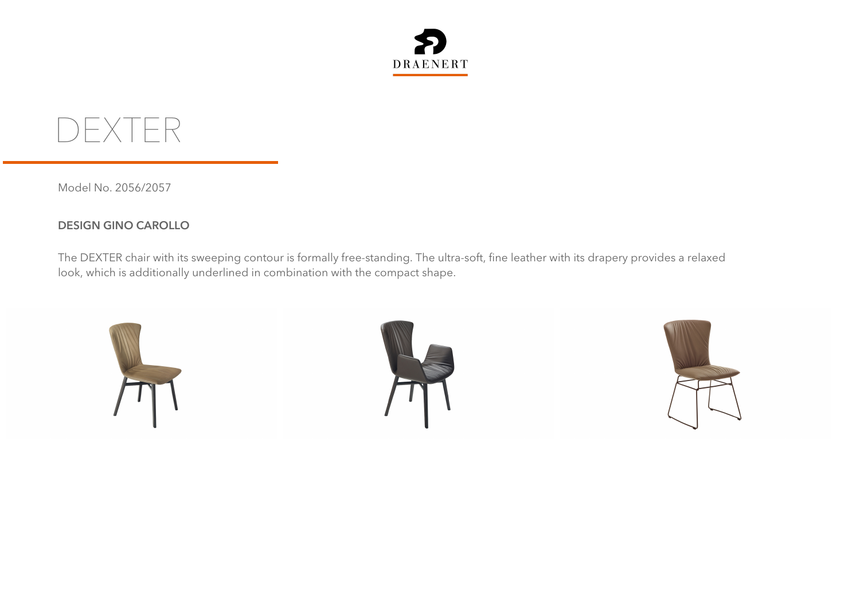

**DEXTER**

Model No. 2056/2057

## **DESIGN GINO CAROLLO**

The DEXTER chair with its sweeping contour is formally free-standing. The ultra-soft, fine leather with its drapery provides a relaxed look, which is additionally underlined in combination with the compact shape.





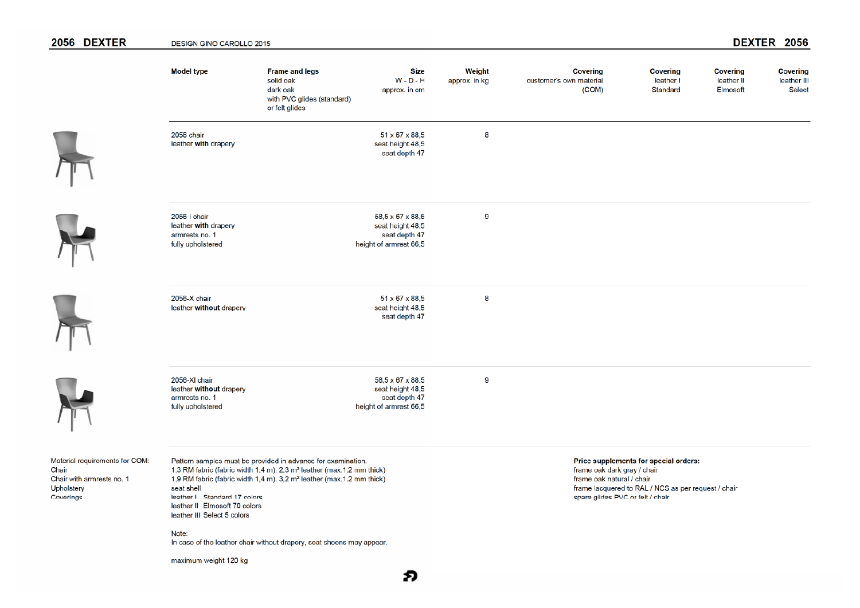## 2056 DEXTER DEXTER 2056 **DESIGN GINO CAROLLO 2015 Model type Frame and legs Size** Weight **Covering Covering Covering Covering** solid oak  $W - D - H$ leather II leather III approx. in kg customer's own material leather I dark oak  $(COM)$ Standard Elmosoft Select approx. in cm with PVC glides (standard) or felt glides 2056 chair  $51 \times 67 \times 88,5$ 8 leather with drapery seat height 48.5 seat depth 47 2056-1 chair  $58.5 \times 67 \times 88.5$  $\mathbf{g}$ leather with drapery seat height 48.5 armrests no. 1 seat depth 47 fully upholstered height of armrest 66,5 2056-X chair  $51 \times 67 \times 88.5$ 8 leather without drapery seat height 48,5 seat depth 47 2056-XI chair 9 58.5 x 67 x 88.5 leather without drapery seat height 48,5 armrests no. 1 seat depth 47 fully upholstered height of armrest 66,5

€

Material requirements for COM: Chair Chair with armrests no. 1 Upholstery Coverings

Pattern samples must be provided in advance for examination. 1.3 RM fabric (fabric width 1.4 m), 2.3 m<sup>2</sup> leather (max.1.2 mm thick) 1,9 RM fabric (fabric width 1,4 m), 3,2 m<sup>2</sup> leather (max.1.2 mm thick) seat shell leather I Standard 17 colors leather II Elmosoft 70 colors leather III Select 5 colors

Note: In case of the leather chair without drapery, seat sheens may appear.

maximum weight 120 kg

Price supplements for special orders: frame oak dark gray / chair frame oak natural / chair frame lacquered to RAL / NCS as per request / chair spare glides PVC or felt / chair